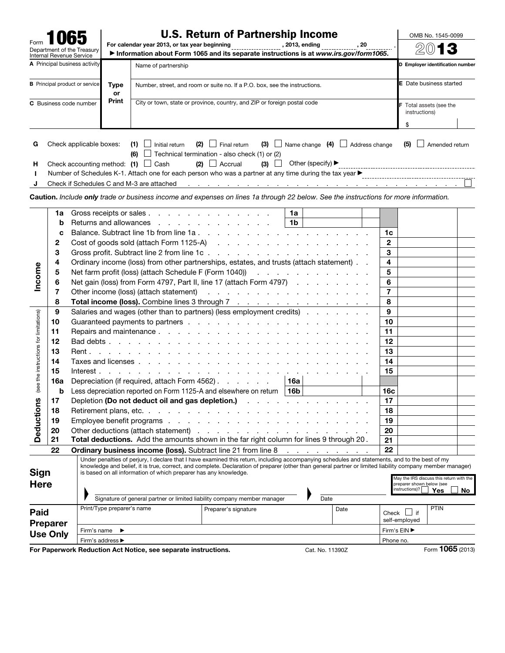|                                                           |                   |                                                                                                                                                                                                                                                                                                                                                                                                                                                             | <b>U.S. Return of Partnership Income</b>                                                  |                                                                                                                                                                                                                                                                                                                                                                                                                                                                                                                                                                                                                     |     |                 |                                                                                               |      |                     | OMB No. 1545-0099                                                                       |                                |      |
|-----------------------------------------------------------|-------------------|-------------------------------------------------------------------------------------------------------------------------------------------------------------------------------------------------------------------------------------------------------------------------------------------------------------------------------------------------------------------------------------------------------------------------------------------------------------|-------------------------------------------------------------------------------------------|---------------------------------------------------------------------------------------------------------------------------------------------------------------------------------------------------------------------------------------------------------------------------------------------------------------------------------------------------------------------------------------------------------------------------------------------------------------------------------------------------------------------------------------------------------------------------------------------------------------------|-----|-----------------|-----------------------------------------------------------------------------------------------|------|---------------------|-----------------------------------------------------------------------------------------|--------------------------------|------|
| Form                                                      |                   | Department of the Treasury                                                                                                                                                                                                                                                                                                                                                                                                                                  |                                                                                           | For calendar year 2013, or tax year beginning __________________, 2013, ending ____________<br>, 20<br>Information about Form 1065 and its separate instructions is at www.irs.gov/form1065.                                                                                                                                                                                                                                                                                                                                                                                                                        |     |                 |                                                                                               |      |                     |                                                                                         |                                | 2013 |
| Internal Revenue Service<br>A Principal business activity |                   |                                                                                                                                                                                                                                                                                                                                                                                                                                                             |                                                                                           |                                                                                                                                                                                                                                                                                                                                                                                                                                                                                                                                                                                                                     |     |                 |                                                                                               |      |                     | D Employer identification number                                                        |                                |      |
|                                                           |                   |                                                                                                                                                                                                                                                                                                                                                                                                                                                             |                                                                                           | Name of partnership                                                                                                                                                                                                                                                                                                                                                                                                                                                                                                                                                                                                 |     |                 |                                                                                               |      |                     |                                                                                         |                                |      |
|                                                           |                   | <b>B</b> Principal product or service                                                                                                                                                                                                                                                                                                                                                                                                                       | Type<br>or                                                                                | Number, street, and room or suite no. If a P.O. box, see the instructions.                                                                                                                                                                                                                                                                                                                                                                                                                                                                                                                                          |     |                 |                                                                                               |      |                     |                                                                                         | <b>E</b> Date business started |      |
|                                                           |                   | C Business code number                                                                                                                                                                                                                                                                                                                                                                                                                                      | Print                                                                                     | City or town, state or province, country, and ZIP or foreign postal code                                                                                                                                                                                                                                                                                                                                                                                                                                                                                                                                            |     |                 |                                                                                               |      |                     | F Total assets (see the                                                                 |                                |      |
|                                                           |                   |                                                                                                                                                                                                                                                                                                                                                                                                                                                             |                                                                                           |                                                                                                                                                                                                                                                                                                                                                                                                                                                                                                                                                                                                                     |     |                 |                                                                                               |      |                     |                                                                                         | instructions)                  |      |
|                                                           |                   |                                                                                                                                                                                                                                                                                                                                                                                                                                                             |                                                                                           |                                                                                                                                                                                                                                                                                                                                                                                                                                                                                                                                                                                                                     |     |                 |                                                                                               |      |                     | \$                                                                                      |                                |      |
| G<br>н<br>J                                               |                   | Check applicable boxes:                                                                                                                                                                                                                                                                                                                                                                                                                                     |                                                                                           | $(1)$ $\Box$ Initial return<br>$(2)$ $\Box$ Final return<br>$\Box$ Technical termination - also check (1) or (2)<br>(6)<br>$(2)$ Accrual<br>Check accounting method: $(1)$ $\Box$ Cash<br>Check if Schedules C and M-3 are attached<br><u> Andreas Andreas Andreas Andreas Andreas Andreas Andreas Andreas Andreas Andreas Andreas Andreas Andreas Andreas Andreas Andreas Andreas Andreas Andreas Andreas Andreas Andreas Andreas Andreas Andreas Andreas Andreas Andr</u><br>Caution. Include only trade or business income and expenses on lines 1a through 22 below. See the instructions for more information. | (3) |                 | $(3)$ $\Box$ Name change $(4)$ $\Box$ Address change<br>Other (specify) $\blacktriangleright$ |      |                     | (5)                                                                                     | $\Box$ Amended return          |      |
|                                                           |                   |                                                                                                                                                                                                                                                                                                                                                                                                                                                             |                                                                                           |                                                                                                                                                                                                                                                                                                                                                                                                                                                                                                                                                                                                                     |     |                 |                                                                                               |      |                     |                                                                                         |                                |      |
|                                                           | 1a                |                                                                                                                                                                                                                                                                                                                                                                                                                                                             |                                                                                           | Gross receipts or sales                                                                                                                                                                                                                                                                                                                                                                                                                                                                                                                                                                                             |     | 1a              |                                                                                               |      |                     |                                                                                         |                                |      |
|                                                           | b                 |                                                                                                                                                                                                                                                                                                                                                                                                                                                             |                                                                                           | Returns and allowances                                                                                                                                                                                                                                                                                                                                                                                                                                                                                                                                                                                              |     | 1 <sub>b</sub>  |                                                                                               |      | 1c                  |                                                                                         |                                |      |
|                                                           | C<br>$\mathbf{2}$ |                                                                                                                                                                                                                                                                                                                                                                                                                                                             |                                                                                           |                                                                                                                                                                                                                                                                                                                                                                                                                                                                                                                                                                                                                     |     |                 |                                                                                               |      |                     |                                                                                         |                                |      |
|                                                           | 3                 |                                                                                                                                                                                                                                                                                                                                                                                                                                                             |                                                                                           |                                                                                                                                                                                                                                                                                                                                                                                                                                                                                                                                                                                                                     |     |                 |                                                                                               |      |                     |                                                                                         |                                |      |
|                                                           | 4                 |                                                                                                                                                                                                                                                                                                                                                                                                                                                             | Ordinary income (loss) from other partnerships, estates, and trusts (attach statement). . |                                                                                                                                                                                                                                                                                                                                                                                                                                                                                                                                                                                                                     |     |                 |                                                                                               |      |                     |                                                                                         |                                |      |
| Income                                                    | 5                 |                                                                                                                                                                                                                                                                                                                                                                                                                                                             | Net farm profit (loss) (attach Schedule F (Form 1040))                                    |                                                                                                                                                                                                                                                                                                                                                                                                                                                                                                                                                                                                                     |     |                 |                                                                                               |      |                     |                                                                                         |                                |      |
|                                                           | 6                 |                                                                                                                                                                                                                                                                                                                                                                                                                                                             | Net gain (loss) from Form 4797, Part II, line 17 (attach Form 4797)                       |                                                                                                                                                                                                                                                                                                                                                                                                                                                                                                                                                                                                                     |     |                 |                                                                                               |      |                     |                                                                                         |                                |      |
|                                                           | 7                 | Other income (loss) (attach statement) and a series of the series of the statement of the statement of the statement of the statement of the statement of the statement of the statement of the statement of the statement of                                                                                                                                                                                                                               |                                                                                           |                                                                                                                                                                                                                                                                                                                                                                                                                                                                                                                                                                                                                     |     |                 |                                                                                               |      |                     |                                                                                         |                                |      |
|                                                           | 8                 | Total income (loss). Combine lines 3 through 7                                                                                                                                                                                                                                                                                                                                                                                                              |                                                                                           |                                                                                                                                                                                                                                                                                                                                                                                                                                                                                                                                                                                                                     |     |                 |                                                                                               |      | $\overline{7}$<br>8 |                                                                                         |                                |      |
|                                                           | 9                 | Salaries and wages (other than to partners) (less employment credits)                                                                                                                                                                                                                                                                                                                                                                                       |                                                                                           |                                                                                                                                                                                                                                                                                                                                                                                                                                                                                                                                                                                                                     |     |                 |                                                                                               |      | $\boldsymbol{9}$    |                                                                                         |                                |      |
|                                                           | 10                |                                                                                                                                                                                                                                                                                                                                                                                                                                                             |                                                                                           |                                                                                                                                                                                                                                                                                                                                                                                                                                                                                                                                                                                                                     |     |                 |                                                                                               |      | 10                  |                                                                                         |                                |      |
|                                                           | 11                |                                                                                                                                                                                                                                                                                                                                                                                                                                                             |                                                                                           |                                                                                                                                                                                                                                                                                                                                                                                                                                                                                                                                                                                                                     |     |                 |                                                                                               |      |                     |                                                                                         |                                |      |
| see the instructions for limitations)                     | 12                |                                                                                                                                                                                                                                                                                                                                                                                                                                                             |                                                                                           |                                                                                                                                                                                                                                                                                                                                                                                                                                                                                                                                                                                                                     |     |                 |                                                                                               |      |                     |                                                                                         |                                |      |
|                                                           | 13                |                                                                                                                                                                                                                                                                                                                                                                                                                                                             |                                                                                           |                                                                                                                                                                                                                                                                                                                                                                                                                                                                                                                                                                                                                     |     |                 |                                                                                               |      |                     |                                                                                         |                                |      |
|                                                           | 14                |                                                                                                                                                                                                                                                                                                                                                                                                                                                             |                                                                                           |                                                                                                                                                                                                                                                                                                                                                                                                                                                                                                                                                                                                                     |     |                 |                                                                                               |      |                     |                                                                                         |                                |      |
|                                                           | 15                |                                                                                                                                                                                                                                                                                                                                                                                                                                                             |                                                                                           |                                                                                                                                                                                                                                                                                                                                                                                                                                                                                                                                                                                                                     |     |                 |                                                                                               |      |                     |                                                                                         |                                |      |
|                                                           | 16a               |                                                                                                                                                                                                                                                                                                                                                                                                                                                             | Depreciation (if required, attach Form 4562)<br>16a                                       |                                                                                                                                                                                                                                                                                                                                                                                                                                                                                                                                                                                                                     |     |                 |                                                                                               |      |                     |                                                                                         |                                |      |
|                                                           | b                 |                                                                                                                                                                                                                                                                                                                                                                                                                                                             |                                                                                           | Less depreciation reported on Form 1125-A and elsewhere on return                                                                                                                                                                                                                                                                                                                                                                                                                                                                                                                                                   |     | 16 <sub>b</sub> |                                                                                               |      | 16 <sub>c</sub>     |                                                                                         |                                |      |
|                                                           | 17                |                                                                                                                                                                                                                                                                                                                                                                                                                                                             |                                                                                           | Depletion (Do not deduct oil and gas depletion.)                                                                                                                                                                                                                                                                                                                                                                                                                                                                                                                                                                    |     |                 |                                                                                               |      | 17                  |                                                                                         |                                |      |
| Deductions                                                | 18                |                                                                                                                                                                                                                                                                                                                                                                                                                                                             |                                                                                           | Retirement plans, etc.                                                                                                                                                                                                                                                                                                                                                                                                                                                                                                                                                                                              |     |                 |                                                                                               |      | 18                  |                                                                                         |                                |      |
|                                                           | 19                |                                                                                                                                                                                                                                                                                                                                                                                                                                                             |                                                                                           | Employee benefit programs                                                                                                                                                                                                                                                                                                                                                                                                                                                                                                                                                                                           |     |                 |                                                                                               |      | 19                  |                                                                                         |                                |      |
|                                                           | 20                |                                                                                                                                                                                                                                                                                                                                                                                                                                                             |                                                                                           |                                                                                                                                                                                                                                                                                                                                                                                                                                                                                                                                                                                                                     |     |                 |                                                                                               |      | 20                  |                                                                                         |                                |      |
|                                                           | 21                |                                                                                                                                                                                                                                                                                                                                                                                                                                                             |                                                                                           | Total deductions. Add the amounts shown in the far right column for lines 9 through 20.                                                                                                                                                                                                                                                                                                                                                                                                                                                                                                                             |     |                 |                                                                                               |      | 21                  |                                                                                         |                                |      |
|                                                           | 22                |                                                                                                                                                                                                                                                                                                                                                                                                                                                             |                                                                                           | Ordinary business income (loss). Subtract line 21 from line 8                                                                                                                                                                                                                                                                                                                                                                                                                                                                                                                                                       |     |                 | and a strong control of the state of                                                          |      | 22                  |                                                                                         |                                |      |
| <b>Sign</b><br><b>Here</b>                                |                   | Under penalties of perjury, I declare that I have examined this return, including accompanying schedules and statements, and to the best of my<br>knowledge and belief, it is true, correct, and complete. Declaration of preparer (other than general partner or limited liability company member manager)<br>is based on all information of which preparer has any knowledge.<br>Signature of general partner or limited liability company member manager |                                                                                           |                                                                                                                                                                                                                                                                                                                                                                                                                                                                                                                                                                                                                     |     |                 |                                                                                               |      |                     | May the IRS discuss this return with the<br>preparer shown below (see<br>instructions)? | <b>Yes</b>                     | No . |
|                                                           |                   |                                                                                                                                                                                                                                                                                                                                                                                                                                                             |                                                                                           |                                                                                                                                                                                                                                                                                                                                                                                                                                                                                                                                                                                                                     |     |                 | Date                                                                                          |      |                     |                                                                                         |                                |      |
| Paid                                                      |                   |                                                                                                                                                                                                                                                                                                                                                                                                                                                             | Print/Type preparer's name                                                                | Preparer's signature                                                                                                                                                                                                                                                                                                                                                                                                                                                                                                                                                                                                |     |                 |                                                                                               | Date |                     | Check $\boxed{\phantom{0}}$ if                                                          | PTIN                           |      |
|                                                           | <b>Preparer</b>   |                                                                                                                                                                                                                                                                                                                                                                                                                                                             |                                                                                           |                                                                                                                                                                                                                                                                                                                                                                                                                                                                                                                                                                                                                     |     |                 |                                                                                               |      |                     | self-employed                                                                           |                                |      |
|                                                           | <b>Use Only</b>   |                                                                                                                                                                                                                                                                                                                                                                                                                                                             | Firm's name $\blacktriangleright$                                                         |                                                                                                                                                                                                                                                                                                                                                                                                                                                                                                                                                                                                                     |     |                 |                                                                                               |      |                     | Firm's EIN ▶                                                                            |                                |      |
|                                                           |                   |                                                                                                                                                                                                                                                                                                                                                                                                                                                             | Firm's address ▶                                                                          |                                                                                                                                                                                                                                                                                                                                                                                                                                                                                                                                                                                                                     |     |                 |                                                                                               |      | Phone no.           |                                                                                         |                                |      |
|                                                           |                   |                                                                                                                                                                                                                                                                                                                                                                                                                                                             |                                                                                           | For Paperwork Reduction Act Notice, see separate instructions.                                                                                                                                                                                                                                                                                                                                                                                                                                                                                                                                                      |     |                 | Cat. No. 11390Z                                                                               |      |                     |                                                                                         | Form 1065 (2013)               |      |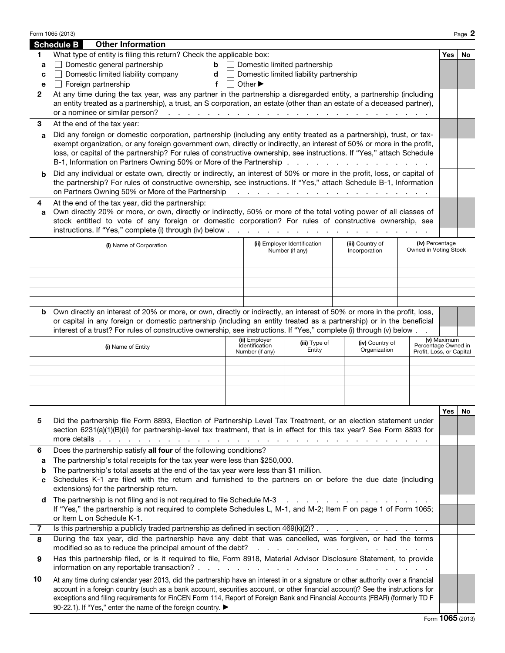|              | Form 1065 (2013)                                                                                                                                                                            |                                                                                                                                                                                                                                          |     |                                 |                                                  |                                                                  |                                          |             | Page 2 |  |
|--------------|---------------------------------------------------------------------------------------------------------------------------------------------------------------------------------------------|------------------------------------------------------------------------------------------------------------------------------------------------------------------------------------------------------------------------------------------|-----|---------------------------------|--------------------------------------------------|------------------------------------------------------------------|------------------------------------------|-------------|--------|--|
|              | <b>Schedule B</b>                                                                                                                                                                           | <b>Other Information</b>                                                                                                                                                                                                                 |     |                                 |                                                  |                                                                  |                                          |             |        |  |
| 1            |                                                                                                                                                                                             | What type of entity is filing this return? Check the applicable box:                                                                                                                                                                     |     |                                 |                                                  |                                                                  |                                          | <b>Yes</b>  | No     |  |
| a            |                                                                                                                                                                                             | Domestic general partnership                                                                                                                                                                                                             |     |                                 | $\mathbf{b}$ $\Box$ Domestic limited partnership |                                                                  |                                          |             |        |  |
| c            |                                                                                                                                                                                             | Domestic limited liability company                                                                                                                                                                                                       | $d$ |                                 | Domestic limited liability partnership           |                                                                  |                                          |             |        |  |
| e            |                                                                                                                                                                                             | Foreign partnership                                                                                                                                                                                                                      | f   | Other $\blacktriangleright$     |                                                  |                                                                  |                                          |             |        |  |
| $\mathbf{2}$ |                                                                                                                                                                                             | At any time during the tax year, was any partner in the partnership a disregarded entity, a partnership (including                                                                                                                       |     |                                 |                                                  |                                                                  |                                          |             |        |  |
|              |                                                                                                                                                                                             | an entity treated as a partnership), a trust, an S corporation, an estate (other than an estate of a deceased partner),                                                                                                                  |     |                                 |                                                  |                                                                  |                                          |             |        |  |
|              |                                                                                                                                                                                             |                                                                                                                                                                                                                                          |     |                                 |                                                  |                                                                  |                                          |             |        |  |
| 3            | At the end of the tax year:                                                                                                                                                                 |                                                                                                                                                                                                                                          |     |                                 |                                                  |                                                                  |                                          |             |        |  |
| a            | Did any foreign or domestic corporation, partnership (including any entity treated as a partnership), trust, or tax-                                                                        |                                                                                                                                                                                                                                          |     |                                 |                                                  |                                                                  |                                          |             |        |  |
|              | exempt organization, or any foreign government own, directly or indirectly, an interest of 50% or more in the profit,                                                                       |                                                                                                                                                                                                                                          |     |                                 |                                                  |                                                                  |                                          |             |        |  |
|              | loss, or capital of the partnership? For rules of constructive ownership, see instructions. If "Yes," attach Schedule<br>B-1, Information on Partners Owning 50% or More of the Partnership |                                                                                                                                                                                                                                          |     |                                 |                                                  |                                                                  |                                          |             |        |  |
|              |                                                                                                                                                                                             |                                                                                                                                                                                                                                          |     |                                 |                                                  |                                                                  |                                          |             |        |  |
|              |                                                                                                                                                                                             | Did any individual or estate own, directly or indirectly, an interest of 50% or more in the profit, loss, or capital of                                                                                                                  |     |                                 |                                                  |                                                                  |                                          |             |        |  |
|              |                                                                                                                                                                                             | the partnership? For rules of constructive ownership, see instructions. If "Yes," attach Schedule B-1, Information<br>on Partners Owning 50% or More of the Partnership                                                                  |     |                                 |                                                  |                                                                  |                                          |             |        |  |
|              |                                                                                                                                                                                             |                                                                                                                                                                                                                                          |     |                                 |                                                  | المتعاونة والمتعاونة والمتعاونة والمتعاونة والمتعاونة والمتعاونة |                                          |             |        |  |
| 4            |                                                                                                                                                                                             | At the end of the tax year, did the partnership:                                                                                                                                                                                         |     |                                 |                                                  |                                                                  |                                          |             |        |  |
| a            |                                                                                                                                                                                             | Own directly 20% or more, or own, directly or indirectly, 50% or more of the total voting power of all classes of<br>stock entitled to vote of any foreign or domestic corporation? For rules of constructive ownership, see             |     |                                 |                                                  |                                                                  |                                          |             |        |  |
|              |                                                                                                                                                                                             | instructions. If "Yes," complete (i) through (iv) below $\cdots$ $\cdots$ $\cdots$ $\cdots$ $\cdots$ $\cdots$ $\cdots$ $\cdots$                                                                                                          |     |                                 |                                                  |                                                                  |                                          |             |        |  |
|              |                                                                                                                                                                                             |                                                                                                                                                                                                                                          |     |                                 |                                                  |                                                                  |                                          |             |        |  |
|              |                                                                                                                                                                                             | (i) Name of Corporation                                                                                                                                                                                                                  |     |                                 | (ii) Employer Identification<br>Number (if any)  | (iii) Country of<br>Incorporation                                | (iv) Percentage<br>Owned in Voting Stock |             |        |  |
|              |                                                                                                                                                                                             |                                                                                                                                                                                                                                          |     |                                 |                                                  |                                                                  |                                          |             |        |  |
|              |                                                                                                                                                                                             |                                                                                                                                                                                                                                          |     |                                 |                                                  |                                                                  |                                          |             |        |  |
|              |                                                                                                                                                                                             |                                                                                                                                                                                                                                          |     |                                 |                                                  |                                                                  |                                          |             |        |  |
|              |                                                                                                                                                                                             |                                                                                                                                                                                                                                          |     |                                 |                                                  |                                                                  |                                          |             |        |  |
|              |                                                                                                                                                                                             |                                                                                                                                                                                                                                          |     |                                 |                                                  |                                                                  |                                          |             |        |  |
|              |                                                                                                                                                                                             | <b>b</b> Own directly an interest of 20% or more, or own, directly or indirectly, an interest of 50% or more in the profit, loss,                                                                                                        |     |                                 |                                                  |                                                                  |                                          |             |        |  |
|              |                                                                                                                                                                                             | or capital in any foreign or domestic partnership (including an entity treated as a partnership) or in the beneficial                                                                                                                    |     |                                 |                                                  |                                                                  |                                          |             |        |  |
|              |                                                                                                                                                                                             | interest of a trust? For rules of constructive ownership, see instructions. If "Yes," complete (i) through (v) below                                                                                                                     |     |                                 |                                                  |                                                                  |                                          |             |        |  |
|              |                                                                                                                                                                                             | (i) Name of Entity                                                                                                                                                                                                                       |     | (ii) Employer<br>Identification | (iii) Type of                                    | (iv) Country of                                                  | Percentage Owned in                      | (v) Maximum |        |  |
|              |                                                                                                                                                                                             |                                                                                                                                                                                                                                          |     | Number (if any)                 | Entity                                           | Organization                                                     | Profit, Loss, or Capital                 |             |        |  |
|              |                                                                                                                                                                                             |                                                                                                                                                                                                                                          |     |                                 |                                                  |                                                                  |                                          |             |        |  |
|              |                                                                                                                                                                                             |                                                                                                                                                                                                                                          |     |                                 |                                                  |                                                                  |                                          |             |        |  |
|              |                                                                                                                                                                                             |                                                                                                                                                                                                                                          |     |                                 |                                                  |                                                                  |                                          |             |        |  |
|              |                                                                                                                                                                                             |                                                                                                                                                                                                                                          |     |                                 |                                                  |                                                                  |                                          |             |        |  |
|              |                                                                                                                                                                                             |                                                                                                                                                                                                                                          |     |                                 |                                                  |                                                                  |                                          |             |        |  |
|              |                                                                                                                                                                                             |                                                                                                                                                                                                                                          |     |                                 |                                                  |                                                                  |                                          | Yes         | No     |  |
| 5            |                                                                                                                                                                                             | Did the partnership file Form 8893, Election of Partnership Level Tax Treatment, or an election statement under<br>section 6231(a)(1)(B)(ii) for partnership-level tax treatment, that is in effect for this tax year? See Form 8893 for |     |                                 |                                                  |                                                                  |                                          |             |        |  |
|              |                                                                                                                                                                                             |                                                                                                                                                                                                                                          |     |                                 |                                                  |                                                                  |                                          |             |        |  |
| 6            |                                                                                                                                                                                             | Does the partnership satisfy all four of the following conditions?                                                                                                                                                                       |     |                                 |                                                  |                                                                  |                                          |             |        |  |
| a            |                                                                                                                                                                                             | The partnership's total receipts for the tax year were less than \$250,000.                                                                                                                                                              |     |                                 |                                                  |                                                                  |                                          |             |        |  |
| b            |                                                                                                                                                                                             | The partnership's total assets at the end of the tax year were less than \$1 million.                                                                                                                                                    |     |                                 |                                                  |                                                                  |                                          |             |        |  |
| c            |                                                                                                                                                                                             | Schedules K-1 are filed with the return and furnished to the partners on or before the due date (including                                                                                                                               |     |                                 |                                                  |                                                                  |                                          |             |        |  |
|              |                                                                                                                                                                                             | extensions) for the partnership return.                                                                                                                                                                                                  |     |                                 |                                                  |                                                                  |                                          |             |        |  |
| d            |                                                                                                                                                                                             | The partnership is not filing and is not required to file Schedule M-3                                                                                                                                                                   |     |                                 | and a straight and a straight and                |                                                                  |                                          |             |        |  |
|              |                                                                                                                                                                                             | If "Yes," the partnership is not required to complete Schedules L, M-1, and M-2; Item F on page 1 of Form 1065;                                                                                                                          |     |                                 |                                                  |                                                                  |                                          |             |        |  |
|              |                                                                                                                                                                                             | or Item L on Schedule K-1.                                                                                                                                                                                                               |     |                                 |                                                  |                                                                  |                                          |             |        |  |
| 7            |                                                                                                                                                                                             |                                                                                                                                                                                                                                          |     |                                 |                                                  |                                                                  |                                          |             |        |  |
| 8            |                                                                                                                                                                                             | During the tax year, did the partnership have any debt that was cancelled, was forgiven, or had the terms                                                                                                                                |     |                                 |                                                  |                                                                  |                                          |             |        |  |
|              |                                                                                                                                                                                             | modified so as to reduce the principal amount of the debt?                                                                                                                                                                               |     |                                 |                                                  | the second contract of the second contract of the second         |                                          |             |        |  |
| 9            |                                                                                                                                                                                             | Has this partnership filed, or is it required to file, Form 8918, Material Advisor Disclosure Statement, to provide                                                                                                                      |     |                                 |                                                  |                                                                  |                                          |             |        |  |
|              |                                                                                                                                                                                             |                                                                                                                                                                                                                                          |     |                                 |                                                  |                                                                  |                                          |             |        |  |
| 10           |                                                                                                                                                                                             | At any time during calendar year 2013, did the partnership have an interest in or a signature or other authority over a financial                                                                                                        |     |                                 |                                                  |                                                                  |                                          |             |        |  |
|              |                                                                                                                                                                                             | account in a foreign country (such as a bank account, securities account, or other financial account)? See the instructions for                                                                                                          |     |                                 |                                                  |                                                                  |                                          |             |        |  |
|              |                                                                                                                                                                                             | exceptions and filing requirements for FinCEN Form 114, Report of Foreign Bank and Financial Accounts (FBAR) (formerly TD F                                                                                                              |     |                                 |                                                  |                                                                  |                                          |             |        |  |
|              |                                                                                                                                                                                             | 90-22.1). If "Yes," enter the name of the foreign country. ▶                                                                                                                                                                             |     |                                 |                                                  |                                                                  |                                          |             |        |  |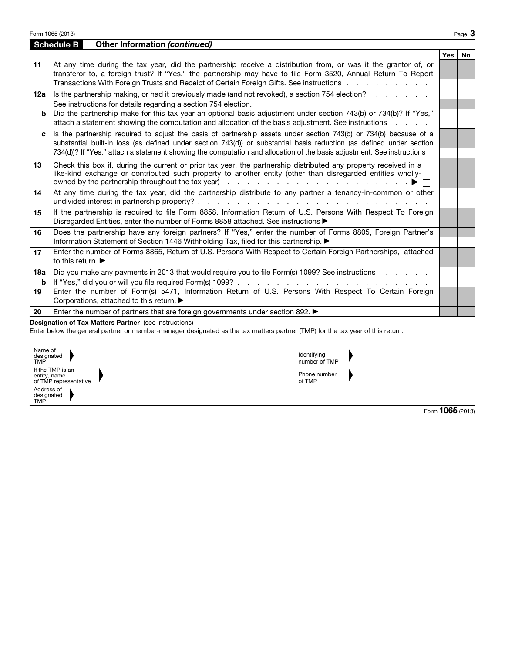|          | Form 1065 (2013)                                                                                                                                                                                                                                                                                                                                                                              |     | Page $3$  |
|----------|-----------------------------------------------------------------------------------------------------------------------------------------------------------------------------------------------------------------------------------------------------------------------------------------------------------------------------------------------------------------------------------------------|-----|-----------|
|          | <b>Other Information (continued)</b><br><b>Schedule B</b>                                                                                                                                                                                                                                                                                                                                     |     |           |
| 11       | At any time during the tax year, did the partnership receive a distribution from, or was it the grantor of, or<br>transferor to, a foreign trust? If "Yes," the partnership may have to file Form 3520, Annual Return To Report<br>Transactions With Foreign Trusts and Receipt of Certain Foreign Gifts. See instructions                                                                    | Yes | <b>No</b> |
| 12a<br>b | Is the partnership making, or had it previously made (and not revoked), a section 754 election?<br>See instructions for details regarding a section 754 election.<br>Did the partnership make for this tax year an optional basis adjustment under section 743(b) or 734(b)? If "Yes,"<br>attach a statement showing the computation and allocation of the basis adjustment. See instructions |     |           |
| c        | Is the partnership required to adjust the basis of partnership assets under section 743(b) or 734(b) because of a<br>substantial built-in loss (as defined under section 743(d)) or substantial basis reduction (as defined under section<br>734(d))? If "Yes," attach a statement showing the computation and allocation of the basis adjustment. See instructions                           |     |           |
| 13       | Check this box if, during the current or prior tax year, the partnership distributed any property received in a<br>like-kind exchange or contributed such property to another entity (other than disregarded entities wholly-                                                                                                                                                                 |     |           |
| 14       | At any time during the tax year, did the partnership distribute to any partner a tenancy-in-common or other                                                                                                                                                                                                                                                                                   |     |           |
| 15       | If the partnership is required to file Form 8858, Information Return of U.S. Persons With Respect To Foreign<br>Disregarded Entities, enter the number of Forms 8858 attached. See instructions ▶                                                                                                                                                                                             |     |           |
| 16       | Does the partnership have any foreign partners? If "Yes," enter the number of Forms 8805, Foreign Partner's<br>Information Statement of Section 1446 Withholding Tax, filed for this partnership.                                                                                                                                                                                             |     |           |
| 17       | Enter the number of Forms 8865, Return of U.S. Persons With Respect to Certain Foreign Partnerships, attached<br>to this return. $\blacktriangleright$                                                                                                                                                                                                                                        |     |           |
| 18a<br>b | Did you make any payments in 2013 that would require you to file Form(s) 1099? See instructions                                                                                                                                                                                                                                                                                               |     |           |
| 19       | Enter the number of Form(s) 5471, Information Return of U.S. Persons With Respect To Certain Foreign<br>Corporations, attached to this return. ▶                                                                                                                                                                                                                                              |     |           |
| 20       | Enter the number of partners that are foreign governments under section 892. $\blacktriangleright$                                                                                                                                                                                                                                                                                            |     |           |
|          | <b>Designation of Tax Matters Partner</b> (see instructions)<br>Enter below the general partner or member-manager designated as the tax matters partner (TMP) for the tax year of this return:                                                                                                                                                                                                |     |           |

| Name of<br>designated<br>TMP                              | Identifying<br>number of TMP |
|-----------------------------------------------------------|------------------------------|
| If the TMP is an<br>entity, name<br>of TMP representative | Phone number<br>of TMP       |
| Address of<br>designated<br>TMP                           |                              |

|  |  |  | Form 1065 (2013) |
|--|--|--|------------------|
|--|--|--|------------------|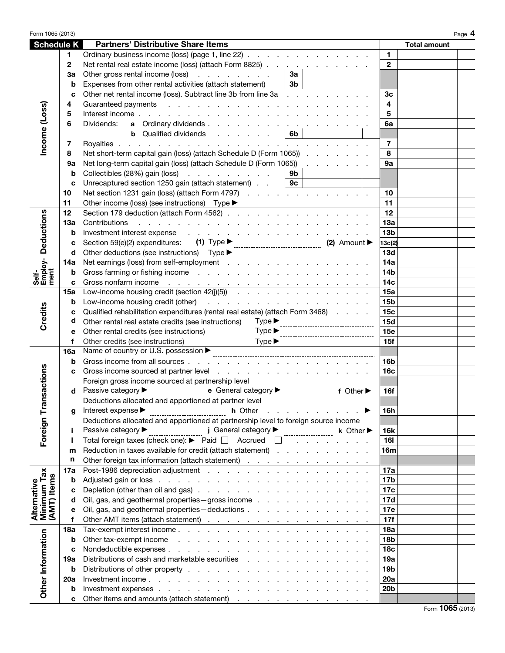| Form 1065 (2013)                          |           |                                                                                                                                                                                                                                                 |                 |                     | Page 4 |
|-------------------------------------------|-----------|-------------------------------------------------------------------------------------------------------------------------------------------------------------------------------------------------------------------------------------------------|-----------------|---------------------|--------|
| <b>Schedule K</b>                         |           | <b>Partners' Distributive Share Items</b>                                                                                                                                                                                                       |                 | <b>Total amount</b> |        |
|                                           | 1.        | Ordinary business income (loss) (page 1, line 22)                                                                                                                                                                                               | $\mathbf{1}$    |                     |        |
|                                           | 2         | Net rental real estate income (loss) (attach Form 8825)                                                                                                                                                                                         | $\mathbf{2}$    |                     |        |
|                                           | За        | Other gross rental income (loss)<br>За                                                                                                                                                                                                          |                 |                     |        |
|                                           | b         | 3 <sub>b</sub><br>Expenses from other rental activities (attach statement)                                                                                                                                                                      |                 |                     |        |
|                                           | C         | Other net rental income (loss). Subtract line 3b from line 3a                                                                                                                                                                                   | Зc              |                     |        |
|                                           | 4         |                                                                                                                                                                                                                                                 | 4               |                     |        |
|                                           | 5         |                                                                                                                                                                                                                                                 | 5               |                     |        |
|                                           | 6         | a Ordinary dividends.<br>Dividends:                                                                                                                                                                                                             | 6a              |                     |        |
|                                           |           | <b>b</b> Qualified dividends<br> 6b                                                                                                                                                                                                             |                 |                     |        |
|                                           | 7         |                                                                                                                                                                                                                                                 | $\overline{7}$  |                     |        |
| Income (Loss)                             | 8         | Net short-term capital gain (loss) (attach Schedule D (Form 1065))                                                                                                                                                                              | 8               |                     |        |
|                                           |           |                                                                                                                                                                                                                                                 |                 |                     |        |
|                                           | <b>9a</b> | Net long-term capital gain (loss) (attach Schedule D (Form 1065))                                                                                                                                                                               | <b>9a</b>       |                     |        |
|                                           | b         | Collectibles (28%) gain (loss)<br>9b                                                                                                                                                                                                            |                 |                     |        |
|                                           | c         | Unrecaptured section 1250 gain (attach statement)<br>9c                                                                                                                                                                                         |                 |                     |        |
|                                           | 10        | Net section 1231 gain (loss) (attach Form 4797)                                                                                                                                                                                                 | 10              |                     |        |
|                                           | 11        | Other income (loss) (see instructions) Type ▶<br><u> 1980 - Andrea Station, amerikan bisan</u>                                                                                                                                                  | 11              |                     |        |
| <b>Deductions</b>                         | 12        |                                                                                                                                                                                                                                                 | 12              |                     |        |
|                                           | 13а       | Contributions<br>the second contract of the second contract of the second contract of the second contract of the second contract of the second contract of the second contract of the second contract of the second contract of the second cont | 13a             |                     |        |
|                                           | b         | Investment interest expense response to the contract of the contract of the contract of the contract of the contract of the contract of the contract of the contract of the contract of the contract of the contract of the co                  | 13 <sub>b</sub> |                     |        |
|                                           | c         | Section 59(e)(2) expenditures:                                                                                                                                                                                                                  | 13c(2)          |                     |        |
|                                           | d         | Other deductions (see instructions) Type > Type > Type + Type + Type + Type + Type + Type + Type + Type + Type + Type + Type + Type + Type + Type + Type + Type + Type + Type + Type + Type + Type + Type + Type + Type + Type                  | 13d             |                     |        |
| Self-<br>Employ-<br>ment                  | 14a       |                                                                                                                                                                                                                                                 | 14a             |                     |        |
|                                           | b         |                                                                                                                                                                                                                                                 | 14 <sub>b</sub> |                     |        |
|                                           | c         |                                                                                                                                                                                                                                                 | 14c             |                     |        |
|                                           | 15a       |                                                                                                                                                                                                                                                 | 15a             |                     |        |
|                                           | b         |                                                                                                                                                                                                                                                 | 15 <sub>b</sub> |                     |        |
|                                           | c         | Qualified rehabilitation expenditures (rental real estate) (attach Form 3468)                                                                                                                                                                   | 15 <sub>c</sub> |                     |        |
| <b>Credits</b>                            | d         | Other rental real estate credits (see instructions)<br>$Type \blacktriangleright$                                                                                                                                                               | 15d             |                     |        |
|                                           | е         | $Type \blacktriangleright$<br>Other rental credits (see instructions)<br>-----------------------------------                                                                                                                                    | <b>15e</b>      |                     |        |
|                                           | f         | $Type \blacktriangleright$<br>Other credits (see instructions)                                                                                                                                                                                  | 15f             |                     |        |
|                                           | 16a       | Name of country or U.S. possession ▶                                                                                                                                                                                                            |                 |                     |        |
|                                           | b         |                                                                                                                                                                                                                                                 | 16 <sub>b</sub> |                     |        |
|                                           | C         |                                                                                                                                                                                                                                                 | 16 <sub>c</sub> |                     |        |
| nsactions                                 |           | Foreign gross income sourced at partnership level                                                                                                                                                                                               |                 |                     |        |
|                                           |           | Passive category ▶<br>e General category $\blacktriangleright$<br>f Other $\blacktriangleright$                                                                                                                                                 | <b>16f</b>      |                     |        |
|                                           |           | Deductions allocated and apportioned at partner level                                                                                                                                                                                           |                 |                     |        |
|                                           | q         | Interest expense ▶<br>. The second contract of the $\blacktriangleright$<br><b>h</b> Other                                                                                                                                                      | 16h             |                     |        |
| Foreign Tra                               |           | Deductions allocated and apportioned at partnership level to foreign source income                                                                                                                                                              |                 |                     |        |
|                                           |           | $j$ General category $\blacktriangleright$<br>Passive category ▶<br>$k$ Other $\blacktriangleright$                                                                                                                                             | <b>16k</b>      |                     |        |
|                                           | J.        | Total foreign taxes (check one): $\blacktriangleright$ Paid $\Box$ Accrued $\Box$                                                                                                                                                               | 161             |                     |        |
|                                           | m         | Reduction in taxes available for credit (attach statement)                                                                                                                                                                                      | 16m             |                     |        |
|                                           | n         | Other foreign tax information (attach statement)                                                                                                                                                                                                |                 |                     |        |
| Alternative<br>Minimum Tax<br>(AMT) Items | 17a       |                                                                                                                                                                                                                                                 | 17a             |                     |        |
|                                           | b         |                                                                                                                                                                                                                                                 | 17b             |                     |        |
|                                           | C         |                                                                                                                                                                                                                                                 | 17c             |                     |        |
|                                           | d         | Oil, gas, and geothermal properties - gross income                                                                                                                                                                                              | 17d             |                     |        |
|                                           | е         | Oil, gas, and geothermal properties-deductions                                                                                                                                                                                                  | 17e             |                     |        |
|                                           | f         |                                                                                                                                                                                                                                                 | 17f             |                     |        |
|                                           | 18a       |                                                                                                                                                                                                                                                 | 18a             |                     |        |
|                                           | b         |                                                                                                                                                                                                                                                 | <b>18b</b>      |                     |        |
|                                           | c         |                                                                                                                                                                                                                                                 | 18 <sub>c</sub> |                     |        |
|                                           | 19а       | Distributions of cash and marketable securities                                                                                                                                                                                                 | 19a             |                     |        |
|                                           | b         |                                                                                                                                                                                                                                                 | 19b             |                     |        |
| Other Information                         | 20a       |                                                                                                                                                                                                                                                 | 20a             |                     |        |
|                                           | b         |                                                                                                                                                                                                                                                 | 20 <sub>b</sub> |                     |        |
|                                           | c         | Other items and amounts (attach statement)                                                                                                                                                                                                      |                 |                     |        |